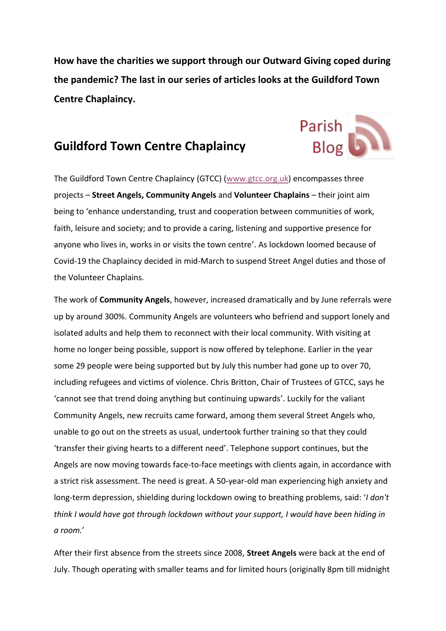**How have the charities we support through our Outward Giving coped during the pandemic? The last in our series of articles looks at the Guildford Town Centre Chaplaincy.**

Parish<br>Blog

## **Guildford Town Centre Chaplaincy**

The Guildford Town Centre Chaplaincy (GTCC) [\(www.gtcc.org.uk\)](http://www.gtcc.org.uk/) encompasses three projects – **Street Angels, Community Angels** and **Volunteer Chaplains** – their joint aim being to 'enhance understanding, trust and cooperation between communities of work, faith, leisure and society; and to provide a caring, listening and supportive presence for anyone who lives in, works in or visits the town centre'. As lockdown loomed because of Covid-19 the Chaplaincy decided in mid-March to suspend Street Angel duties and those of the Volunteer Chaplains.

The work of **Community Angels**, however, increased dramatically and by June referrals were up by around 300%. Community Angels are volunteers who befriend and support lonely and isolated adults and help them to reconnect with their local community. With visiting at home no longer being possible, support is now offered by telephone. Earlier in the year some 29 people were being supported but by July this number had gone up to over 70, including refugees and victims of violence. Chris Britton, Chair of Trustees of GTCC, says he 'cannot see that trend doing anything but continuing upwards'. Luckily for the valiant Community Angels, new recruits came forward, among them several Street Angels who, unable to go out on the streets as usual, undertook further training so that they could 'transfer their giving hearts to a different need'. Telephone support continues, but the Angels are now moving towards face-to-face meetings with clients again, in accordance with a strict risk assessment. The need is great. A 50-year-old man experiencing high anxiety and long-term depression, shielding during lockdown owing to breathing problems, said: '*I don't think I would have got through lockdown without your support, I would have been hiding in a room.*'

After their first absence from the streets since 2008, **Street Angels** were back at the end of July. Though operating with smaller teams and for limited hours (originally 8pm till midnight